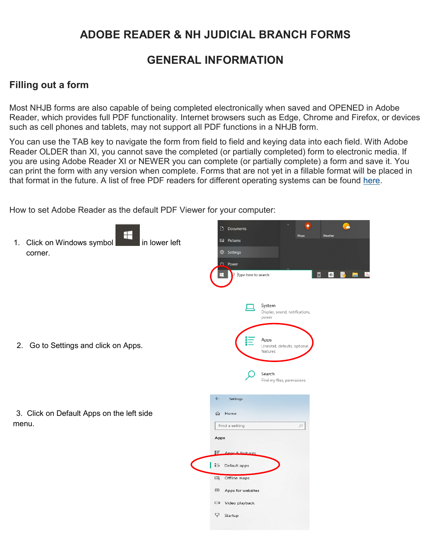## **ADOBE READER & NH JUDICIAL BRANCH FORMS**

## **GENERAL INFORMATION**

## **Filling out a form**

Most NHJB forms are also capable of being completed electronically when saved and OPENED in Adobe Reader, which provides full PDF functionality. Internet browsers such as Edge, Chrome and Firefox, or devices such as cell phones and tablets, may not support all PDF functions in a NHJB form.

You can use the TAB key to navigate the form from field to field and keying data into each field. With Adobe Reader OLDER than XI, you cannot save the completed (or partially completed) form to electronic media. If you are using Adobe Reader XI or NEWER you can complete (or partially complete) a form and save it. You can print the form with any version when complete. Forms that are not yet in a fillable format will be placed in that format in the future. A list of free PDF readers for different operating systems can be found [here.](https://www.nh.gov/file-format/pdf)

How to set Adobe Reader as the default PDF Viewer for your computer:

| ⊞<br>1. Click on Windows symbol<br>I in lower left<br>corner. | $\Box$ Documents<br>Weather<br>Maps<br><b>Na</b> Pictures<br>@ Settings<br>$\frac{1}{2}$ Power<br>H.<br>$\blacksquare$<br>$\bullet$<br>Type here to search<br>D |  |
|---------------------------------------------------------------|-----------------------------------------------------------------------------------------------------------------------------------------------------------------|--|
| 2. Go to Settings and click on Apps.                          | System<br>Display, sound, notifications,<br>power<br>Apps<br>巨<br>Uninstall, defaults, optional<br>features<br>Search<br>Find my files, permissions             |  |
| 3. Click on Default Apps on the left side<br>menu.            | $\leftarrow$<br>Settings<br>⋒<br>Home<br>$\varphi$<br>Find a setting<br>Apps<br>ĮΞ.<br>8. features<br>Ann<br>■ Default apps<br>吅<br>Offline maps                |  |
|                                                               | $\Box$<br>Apps for websites<br>Video playback<br>$\Box$<br>ç<br>Startup                                                                                         |  |